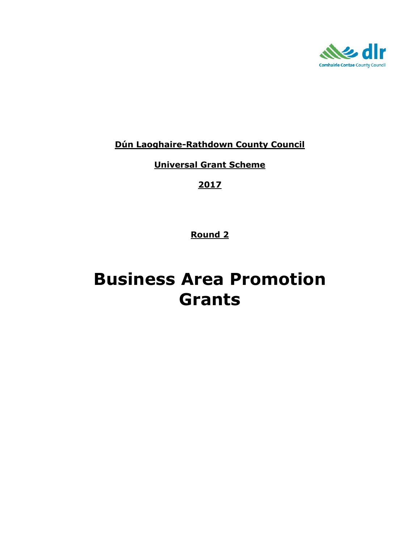

**Dún Laoghaire-Rathdown County Council**

**Universal Grant Scheme**

**2017**

**Round 2**

# **Business Area Promotion Grants**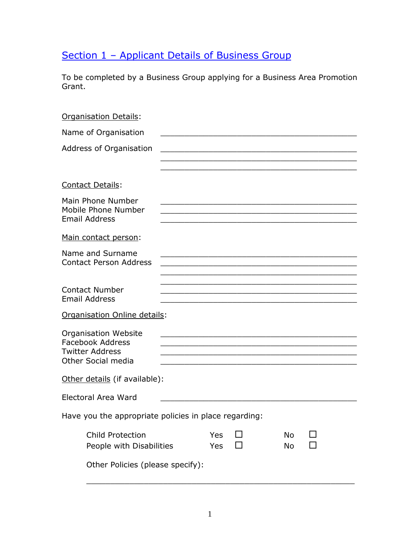# Section 1 - Applicant Details of Business Group

To be completed by a Business Group applying for a Business Area Promotion Grant.

| <b>Organisation Details:</b>                                                                           |            |                                                                                                                  |          |  |
|--------------------------------------------------------------------------------------------------------|------------|------------------------------------------------------------------------------------------------------------------|----------|--|
| Name of Organisation                                                                                   |            |                                                                                                                  |          |  |
| Address of Organisation                                                                                |            |                                                                                                                  |          |  |
|                                                                                                        |            |                                                                                                                  |          |  |
| <b>Contact Details:</b>                                                                                |            |                                                                                                                  |          |  |
| Main Phone Number<br>Mobile Phone Number<br><b>Email Address</b>                                       |            |                                                                                                                  |          |  |
| Main contact person:                                                                                   |            |                                                                                                                  |          |  |
| Name and Surname<br><b>Contact Person Address</b>                                                      |            |                                                                                                                  |          |  |
| <b>Contact Number</b><br><b>Email Address</b>                                                          |            | and the control of the control of the control of the control of the control of the control of the control of the |          |  |
| Organisation Online details:                                                                           |            |                                                                                                                  |          |  |
| <b>Organisation Website</b><br><b>Facebook Address</b><br><b>Twitter Address</b><br>Other Social media |            | <u> 1989 - Johann Stein, mars an deus an deus Amerikaansk kommunister (</u>                                      |          |  |
| Other details (if available):                                                                          |            |                                                                                                                  |          |  |
| Electoral Area Ward                                                                                    |            |                                                                                                                  |          |  |
| Have you the appropriate policies in place regarding:                                                  |            |                                                                                                                  |          |  |
| Child Protection<br>People with Disabilities                                                           | Yes<br>Yes |                                                                                                                  | No<br>No |  |
| Other Policies (please specify):                                                                       |            |                                                                                                                  |          |  |

\_\_\_\_\_\_\_\_\_\_\_\_\_\_\_\_\_\_\_\_\_\_\_\_\_\_\_\_\_\_\_\_\_\_\_\_\_\_\_\_\_\_\_\_\_\_\_\_\_\_\_\_\_\_\_\_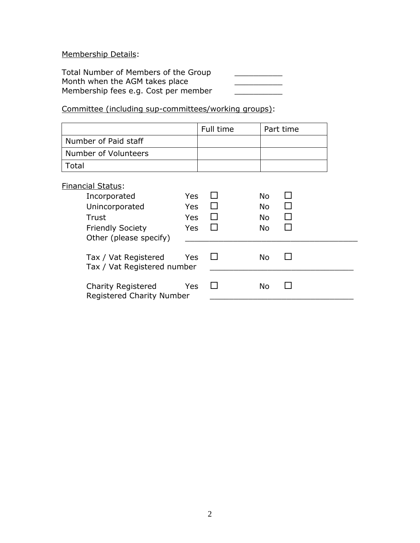Membership Details:

Total Number of Members of the Group \_\_\_\_\_\_\_\_\_\_\_ Month when the AGM takes place \_\_\_\_\_\_\_\_\_\_ Membership fees e.g. Cost per member

Committee (including sup-committees/working groups):

|                                                                                                                          |                                               | Full time |                                            | Part time |
|--------------------------------------------------------------------------------------------------------------------------|-----------------------------------------------|-----------|--------------------------------------------|-----------|
| Number of Paid staff                                                                                                     |                                               |           |                                            |           |
| Number of Volunteers                                                                                                     |                                               |           |                                            |           |
| Total                                                                                                                    |                                               |           |                                            |           |
| <b>Financial Status:</b><br>Incorporated<br>Unincorporated<br>Trust<br><b>Friendly Society</b><br>Other (please specify) | <b>Yes</b><br>Yes<br><b>Yes</b><br><b>Yes</b> |           | No.<br><b>No</b><br><b>No</b><br><b>No</b> |           |
| Tax / Vat Registered<br>Tax / Vat Registered number                                                                      | Yes                                           |           | <b>No</b>                                  |           |
| <b>Charity Registered</b><br><b>Registered Charity Number</b>                                                            | <b>Yes</b>                                    |           | <b>No</b>                                  |           |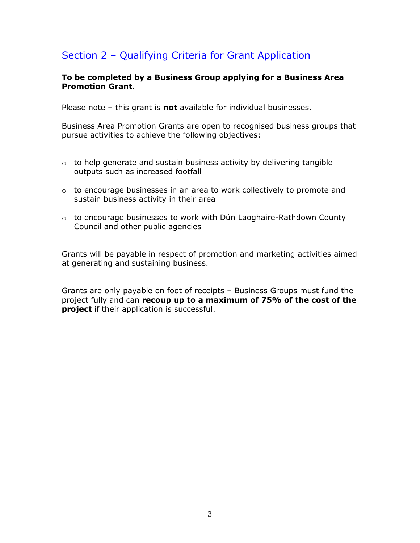## Section 2 – Qualifying Criteria for Grant Application

#### **To be completed by a Business Group applying for a Business Area Promotion Grant.**

Please note – this grant is **not** available for individual businesses.

Business Area Promotion Grants are open to recognised business groups that pursue activities to achieve the following objectives:

- $\circ$  to help generate and sustain business activity by delivering tangible outputs such as increased footfall
- o to encourage businesses in an area to work collectively to promote and sustain business activity in their area
- o to encourage businesses to work with Dún Laoghaire-Rathdown County Council and other public agencies

Grants will be payable in respect of promotion and marketing activities aimed at generating and sustaining business.

Grants are only payable on foot of receipts – Business Groups must fund the project fully and can **recoup up to a maximum of 75% of the cost of the project** if their application is successful.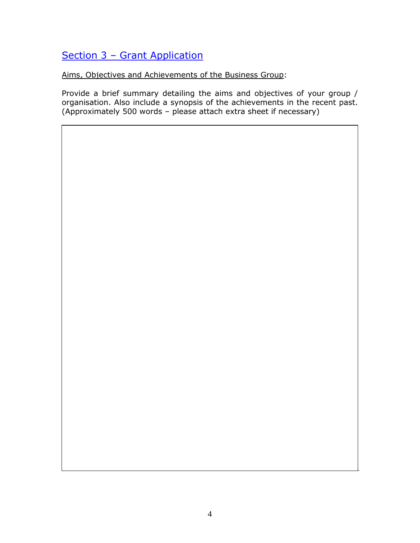## Section 3 – Grant Application

Aims, Objectives and Achievements of the Business Group:

Provide a brief summary detailing the aims and objectives of your group / organisation. Also include a synopsis of the achievements in the recent past. (Approximately 500 words – please attach extra sheet if necessary)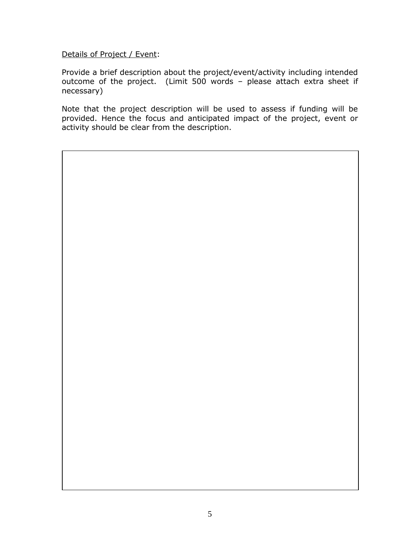Details of Project / Event:

Provide a brief description about the project/event/activity including intended outcome of the project. (Limit 500 words – please attach extra sheet if necessary)

Note that the project description will be used to assess if funding will be provided. Hence the focus and anticipated impact of the project, event or activity should be clear from the description.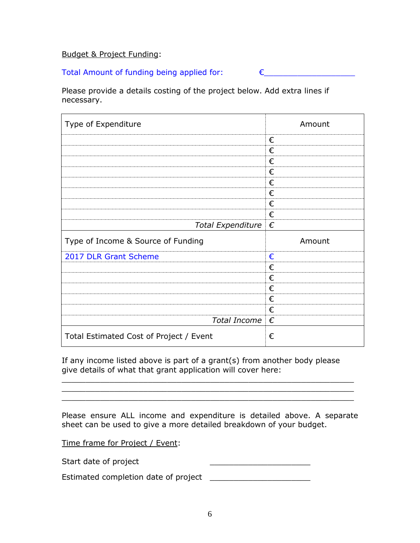#### Budget & Project Funding:

### Total Amount of funding being applied for: €\_\_\_\_\_\_\_\_\_\_\_\_\_\_\_\_\_\_\_

Please provide a details costing of the project below. Add extra lines if necessary.

| Type of Expenditure                | Amount |
|------------------------------------|--------|
|                                    | €      |
|                                    | €      |
|                                    | €      |
|                                    | €      |
|                                    | €      |
|                                    | €      |
|                                    | €      |
|                                    | €      |
| Total Expenditure $\epsilon$       |        |
|                                    |        |
| Type of Income & Source of Funding | Amount |
| 2017 DLR Grant Scheme              | €      |
|                                    | €      |
|                                    | €      |
|                                    | €      |
|                                    | €      |
|                                    | €      |
| Total Income $\epsilon$            |        |

If any income listed above is part of a grant(s) from another body please give details of what that grant application will cover here:

Please ensure ALL income and expenditure is detailed above. A separate sheet can be used to give a more detailed breakdown of your budget.

\_\_\_\_\_\_\_\_\_\_\_\_\_\_\_\_\_\_\_\_\_\_\_\_\_\_\_\_\_\_\_\_\_\_\_\_\_\_\_\_\_\_\_\_\_\_\_\_\_\_\_\_\_\_\_\_\_\_\_\_\_ \_\_\_\_\_\_\_\_\_\_\_\_\_\_\_\_\_\_\_\_\_\_\_\_\_\_\_\_\_\_\_\_\_\_\_\_\_\_\_\_\_\_\_\_\_\_\_\_\_\_\_\_\_\_\_\_\_\_\_\_\_  $\mathcal{L}_\mathcal{L}$  , and the contribution of the contribution of the contribution of the contribution of the contribution of the contribution of the contribution of the contribution of the contribution of the contribution of

Time frame for Project / Event:

Start date of project \_\_\_\_\_\_\_\_\_\_\_\_\_\_\_\_\_\_\_\_\_

Estimated completion date of project \_\_\_\_\_\_\_\_\_\_\_\_\_\_\_\_\_\_\_\_\_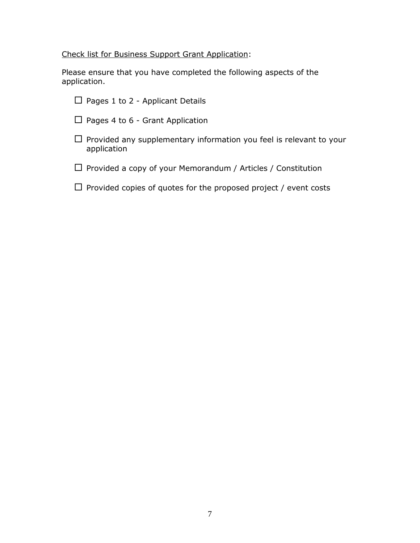Check list for Business Support Grant Application:

Please ensure that you have completed the following aspects of the application.

 $\square$  Pages 1 to 2 - Applicant Details  $\Box$  Pages 4 to 6 - Grant Application  $\Box$  Provided any supplementary information you feel is relevant to your application  $\square$  Provided a copy of your Memorandum / Articles / Constitution

 $\square$  Provided copies of quotes for the proposed project / event costs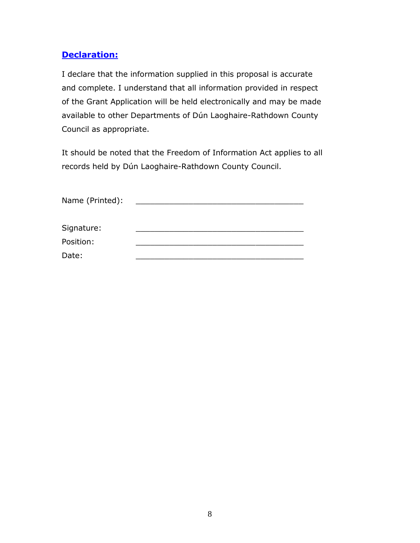## **Declaration:**

I declare that the information supplied in this proposal is accurate and complete. I understand that all information provided in respect of the Grant Application will be held electronically and may be made available to other Departments of Dún Laoghaire-Rathdown County Council as appropriate.

It should be noted that the Freedom of Information Act applies to all records held by Dún Laoghaire-Rathdown County Council.

| Name (Printed): |  |
|-----------------|--|
| Signature:      |  |
| Position:       |  |
| Date:           |  |